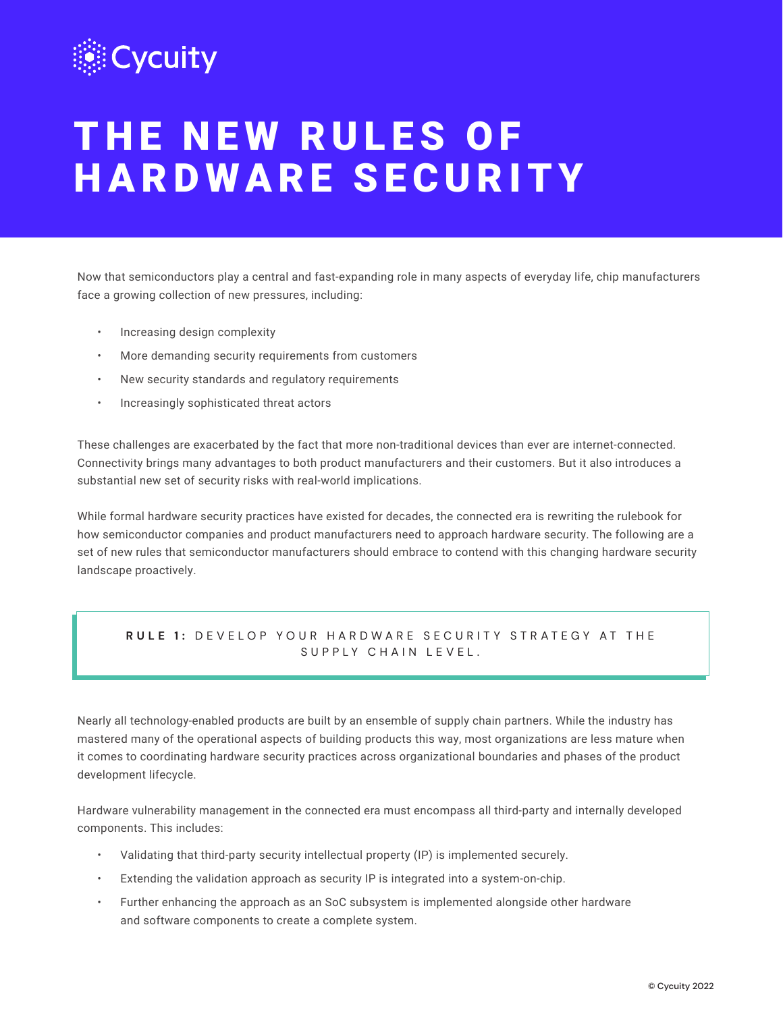

# THE NEW RULES OF HARDWARE SECURITY

Now that semiconductors play a central and fast-expanding role in many aspects of everyday life, chip manufacturers face a growing collection of new pressures, including:

- Increasing design complexity
- More demanding security requirements from customers
- New security standards and regulatory requirements
- Increasingly sophisticated threat actors

These challenges are exacerbated by the fact that more non-traditional devices than ever are internet-connected. Connectivity brings many advantages to both product manufacturers and their customers. But it also introduces a substantial new set of security risks with real-world implications.

While formal hardware security practices have existed for decades, the connected era is rewriting the rulebook for how semiconductor companies and product manufacturers need to approach hardware security. The following are a set of new rules that semiconductor manufacturers should embrace to contend with this changing hardware security landscape proactively.

# **RULE 1:** DEVELOP YOUR HARDWARE SECURITY STRATEGY AT THE SUPPLY CHAIN LEVEL.

Nearly all technology-enabled products are built by an ensemble of supply chain partners. While the industry has mastered many of the operational aspects of building products this way, most organizations are less mature when it comes to coordinating hardware security practices across organizational boundaries and phases of the product development lifecycle.

Hardware vulnerability management in the connected era must encompass all third-party and internally developed components. This includes:

- Validating that third-party security intellectual property (IP) is implemented securely.
- Extending the validation approach as security IP is integrated into a system-on-chip.
- Further enhancing the approach as an SoC subsystem is implemented alongside other hardware and software components to create a complete system.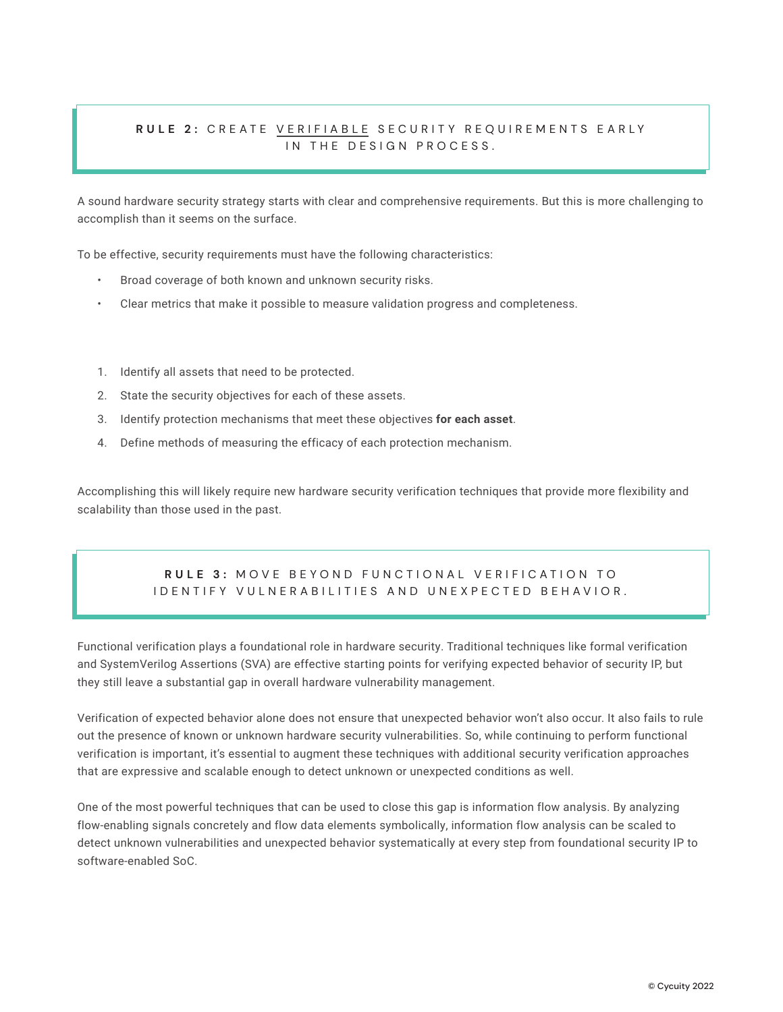# RULE 2: CREATE <u>VERIFIABLE</u> SECURITY REQUIREMENTS EARLY IN THE DESIGN PROCESS.

A sound hardware security strategy starts with clear and comprehensive requirements. But this is more challenging to accomplish than it seems on the surface.

To be effective, security requirements must have the following characteristics:

- Broad coverage of both known and unknown security risks.
- Clear metrics that make it possible to measure validation progress and completeness.
- 1. Identify all assets that need to be protected.
- 2. State the security objectives for each of these assets.
- 3. Identify protection mechanisms that meet these objectives **for each asset**.
- 4. Define methods of measuring the efficacy of each protection mechanism.

Accomplishing this will likely require new hardware security verification techniques that provide more flexibility and scalability than those used in the past.

# RULL U. MUVE BETUND TUNUTIUMAE VENTTUATION TU<br>IDENTIFY VULNERABILITIES AND UNEXPECTED BEHAVIOR. **RULE 3: MOVE BEYOND FUNCTIONAL VERIFICATION TO**

Functional verification plays a foundational role in hardware security. Traditional techniques like formal verification and SystemVerilog Assertions (SVA) are effective starting points for verifying expected behavior of security IP, but they still leave a substantial gap in overall hardware vulnerability management.

Verification of expected behavior alone does not ensure that unexpected behavior won't also occur. It also fails to rule out the presence of known or unknown hardware security vulnerabilities. So, while continuing to perform functional verification is important, it's essential to augment these techniques with additional security verification approaches that are expressive and scalable enough to detect unknown or unexpected conditions as well.

One of the most powerful techniques that can be used to close this gap is information flow analysis. By analyzing flow-enabling signals concretely and flow data elements symbolically, information flow analysis can be scaled to detect unknown vulnerabilities and unexpected behavior systematically at every step from foundational security IP to software-enabled SoC.